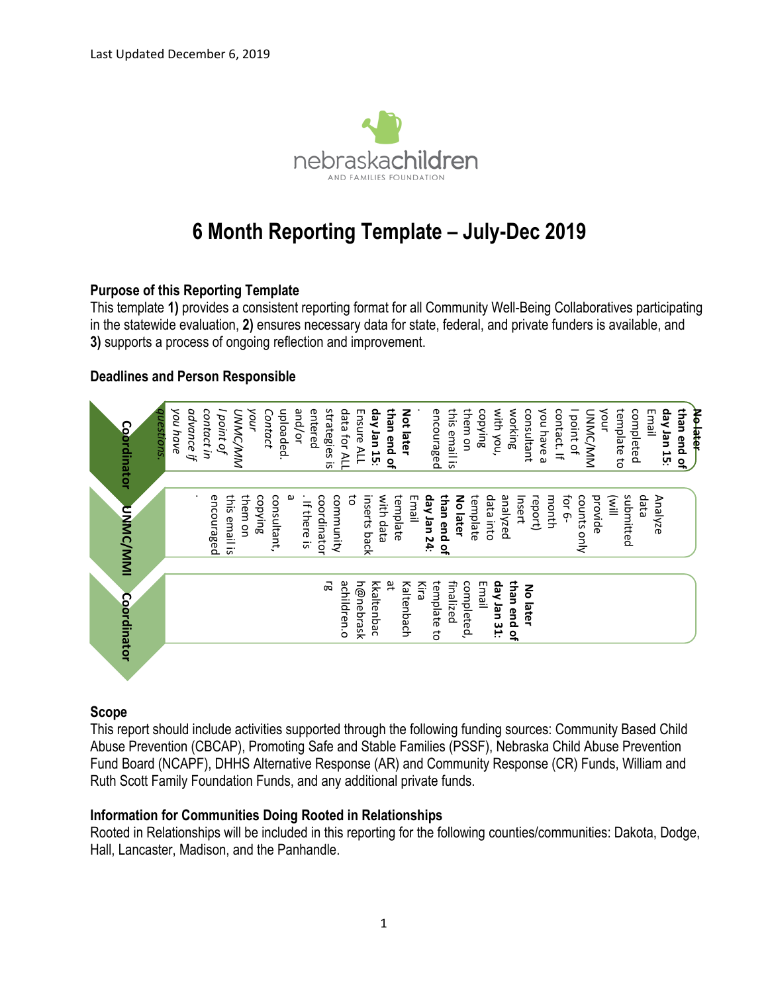

# **6 Month Reporting Template – July-Dec 2019**

### **Purpose of this Reporting Template**

This template **1)** provides a consistent reporting format for all Community Well-Being Collaboratives participating in the statewide evaluation, **2)** ensures necessary data for state, federal, and private funders is available, and **3)** supports a process of ongoing reflection and improvement.

### **Deadlines and Person Responsible**



### **Scope**

This report should include activities supported through the following funding sources: Community Based Child Abuse Prevention (CBCAP), Promoting Safe and Stable Families (PSSF), Nebraska Child Abuse Prevention Fund Board (NCAPF), DHHS Alternative Response (AR) and Community Response (CR) Funds, William and Ruth Scott Family Foundation Funds, and any additional private funds.

### **Information for Communities Doing Rooted in Relationships**

Rooted in Relationships will be included in this reporting for the following counties/communities: Dakota, Dodge, Hall, Lancaster, Madison, and the Panhandle.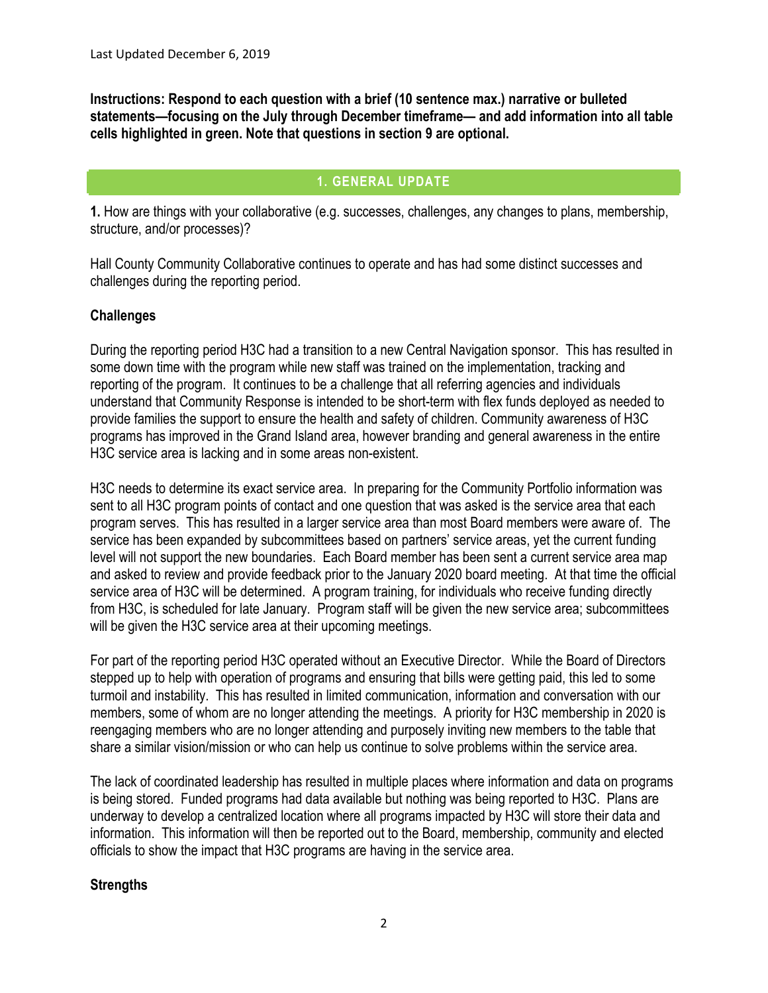**Instructions: Respond to each question with a brief (10 sentence max.) narrative or bulleted statements—focusing on the July through December timeframe— and add information into all table cells highlighted in green. Note that questions in section 9 are optional.** 

# **1. GENERAL UPDATE**

**1.** How are things with your collaborative (e.g. successes, challenges, any changes to plans, membership, structure, and/or processes)?

Hall County Community Collaborative continues to operate and has had some distinct successes and challenges during the reporting period.

### **Challenges**

During the reporting period H3C had a transition to a new Central Navigation sponsor. This has resulted in some down time with the program while new staff was trained on the implementation, tracking and reporting of the program. It continues to be a challenge that all referring agencies and individuals understand that Community Response is intended to be short-term with flex funds deployed as needed to provide families the support to ensure the health and safety of children. Community awareness of H3C programs has improved in the Grand Island area, however branding and general awareness in the entire H3C service area is lacking and in some areas non-existent.

H3C needs to determine its exact service area. In preparing for the Community Portfolio information was sent to all H3C program points of contact and one question that was asked is the service area that each program serves. This has resulted in a larger service area than most Board members were aware of. The service has been expanded by subcommittees based on partners' service areas, yet the current funding level will not support the new boundaries. Each Board member has been sent a current service area map and asked to review and provide feedback prior to the January 2020 board meeting. At that time the official service area of H3C will be determined. A program training, for individuals who receive funding directly from H3C, is scheduled for late January. Program staff will be given the new service area; subcommittees will be given the H3C service area at their upcoming meetings.

For part of the reporting period H3C operated without an Executive Director. While the Board of Directors stepped up to help with operation of programs and ensuring that bills were getting paid, this led to some turmoil and instability. This has resulted in limited communication, information and conversation with our members, some of whom are no longer attending the meetings. A priority for H3C membership in 2020 is reengaging members who are no longer attending and purposely inviting new members to the table that share a similar vision/mission or who can help us continue to solve problems within the service area.

The lack of coordinated leadership has resulted in multiple places where information and data on programs is being stored. Funded programs had data available but nothing was being reported to H3C. Plans are underway to develop a centralized location where all programs impacted by H3C will store their data and information. This information will then be reported out to the Board, membership, community and elected officials to show the impact that H3C programs are having in the service area.

### **Strengths**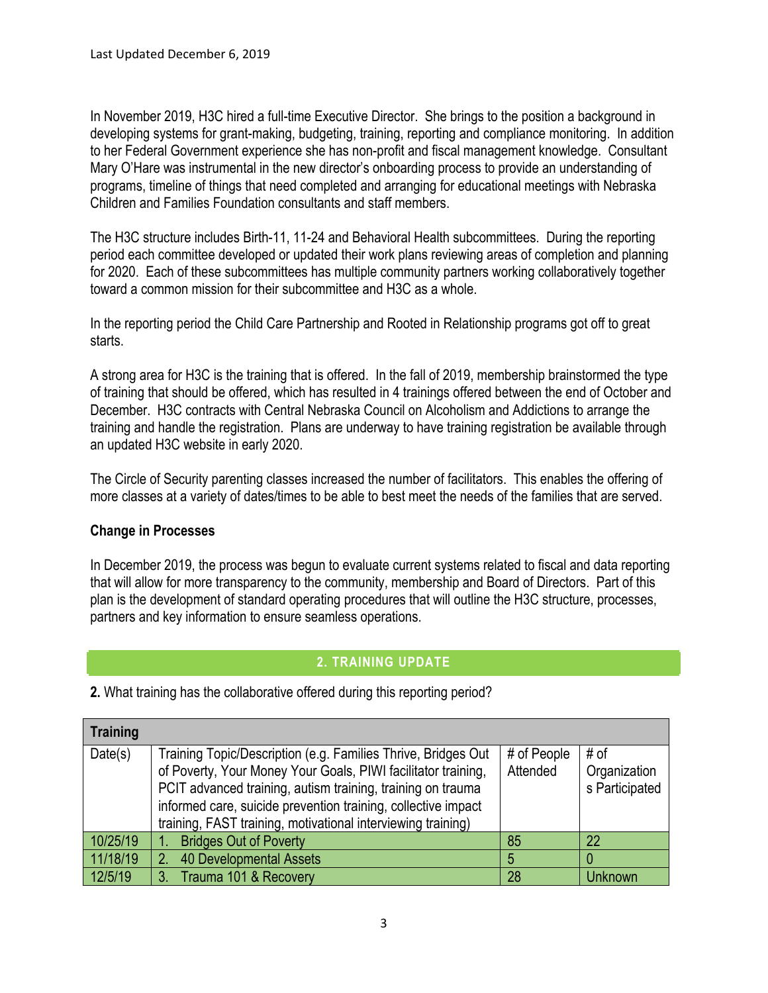In November 2019, H3C hired a full-time Executive Director. She brings to the position a background in developing systems for grant-making, budgeting, training, reporting and compliance monitoring. In addition to her Federal Government experience she has non-profit and fiscal management knowledge. Consultant Mary O'Hare was instrumental in the new director's onboarding process to provide an understanding of programs, timeline of things that need completed and arranging for educational meetings with Nebraska Children and Families Foundation consultants and staff members.

The H3C structure includes Birth-11, 11-24 and Behavioral Health subcommittees. During the reporting period each committee developed or updated their work plans reviewing areas of completion and planning for 2020. Each of these subcommittees has multiple community partners working collaboratively together toward a common mission for their subcommittee and H3C as a whole.

In the reporting period the Child Care Partnership and Rooted in Relationship programs got off to great starts.

A strong area for H3C is the training that is offered. In the fall of 2019, membership brainstormed the type of training that should be offered, which has resulted in 4 trainings offered between the end of October and December. H3C contracts with Central Nebraska Council on Alcoholism and Addictions to arrange the training and handle the registration. Plans are underway to have training registration be available through an updated H3C website in early 2020.

The Circle of Security parenting classes increased the number of facilitators. This enables the offering of more classes at a variety of dates/times to be able to best meet the needs of the families that are served.

### **Change in Processes**

In December 2019, the process was begun to evaluate current systems related to fiscal and data reporting that will allow for more transparency to the community, membership and Board of Directors. Part of this plan is the development of standard operating procedures that will outline the H3C structure, processes, partners and key information to ensure seamless operations.

# **2. TRAINING UPDATE**

| <b>Training</b> |                                                                                                                                                                                                                                                                                                                                |                         |                                        |
|-----------------|--------------------------------------------------------------------------------------------------------------------------------------------------------------------------------------------------------------------------------------------------------------------------------------------------------------------------------|-------------------------|----------------------------------------|
| Date(s)         | Training Topic/Description (e.g. Families Thrive, Bridges Out<br>of Poverty, Your Money Your Goals, PIWI facilitator training,<br>PCIT advanced training, autism training, training on trauma<br>informed care, suicide prevention training, collective impact<br>training, FAST training, motivational interviewing training) | # of People<br>Attended | # of<br>Organization<br>s Participated |
| 10/25/19        | <b>Bridges Out of Poverty</b>                                                                                                                                                                                                                                                                                                  | 85                      | 22                                     |
| 11/18/19        | <b>40 Developmental Assets</b><br>2.                                                                                                                                                                                                                                                                                           |                         |                                        |
| 12/5/19         | Trauma 101 & Recovery<br>3.                                                                                                                                                                                                                                                                                                    | 28                      | Unknown/                               |

**2.** What training has the collaborative offered during this reporting period?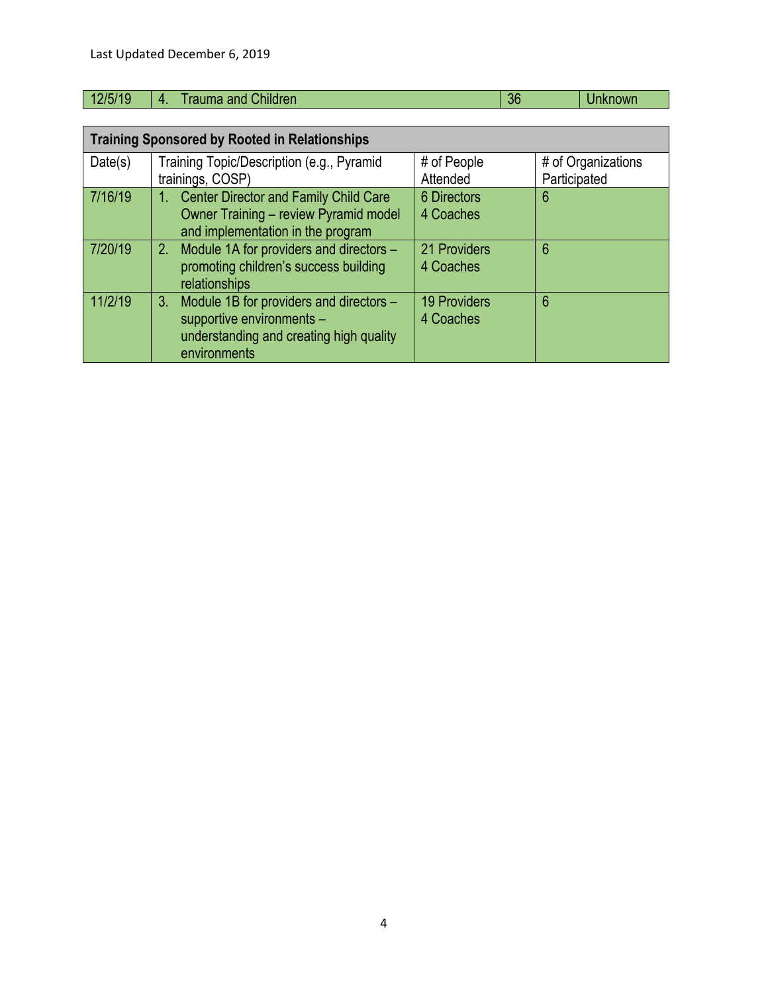| 19.14 | _<br>. . | шо<br>41 I G | $\sim$ |  |
|-------|----------|--------------|--------|--|
|       |          |              |        |  |
|       |          |              |        |  |

|         | <b>Training Sponsored by Rooted in Relationships</b>   |                     |                    |
|---------|--------------------------------------------------------|---------------------|--------------------|
| Date(s) | Training Topic/Description (e.g., Pyramid              | # of People         | # of Organizations |
|         | trainings, COSP)                                       | Attended            | Participated       |
| 7/16/19 | <b>Center Director and Family Child Care</b><br>1.     | 6 Directors         | 6                  |
|         | Owner Training - review Pyramid model                  | 4 Coaches           |                    |
|         | and implementation in the program                      |                     |                    |
| 7/20/19 | 2. Module 1A for providers and directors -             | 21 Providers        | 6                  |
|         | promoting children's success building<br>relationships | 4 Coaches           |                    |
| 11/2/19 | Module 1B for providers and directors -<br>$3_{-}$     | <b>19 Providers</b> | 6                  |
|         | supportive environments -                              | 4 Coaches           |                    |
|         | understanding and creating high quality                |                     |                    |
|         | environments                                           |                     |                    |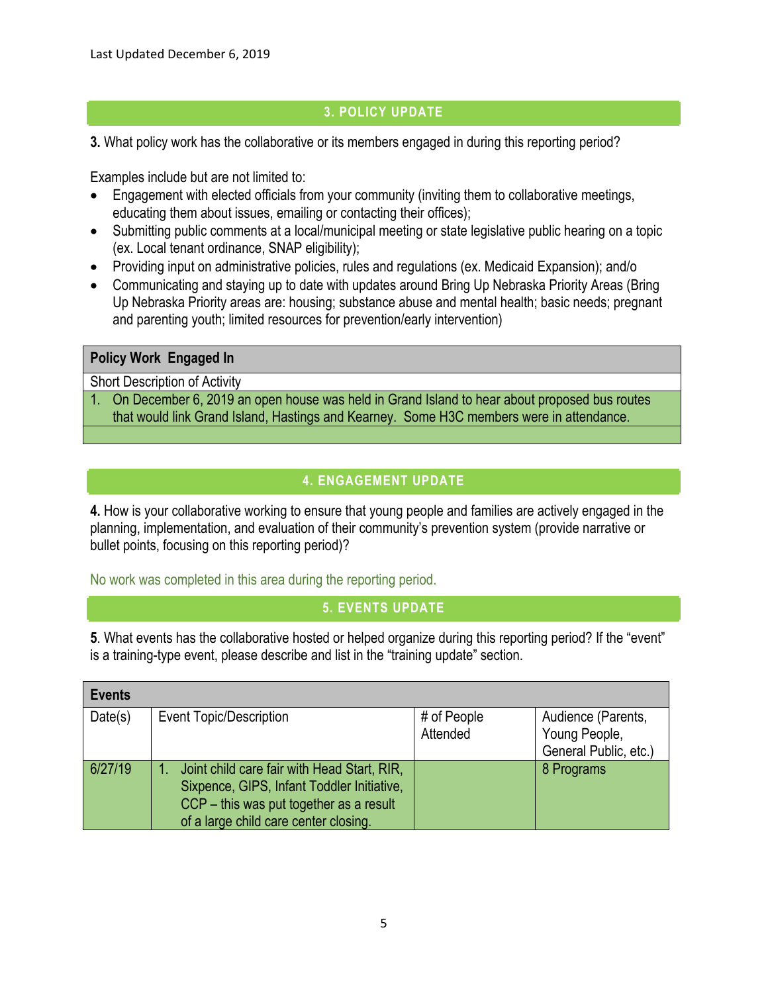### **3. POLICY UPDATE**

**3.** What policy work has the collaborative or its members engaged in during this reporting period?

Examples include but are not limited to:

- Engagement with elected officials from your community (inviting them to collaborative meetings, educating them about issues, emailing or contacting their offices);
- Submitting public comments at a local/municipal meeting or state legislative public hearing on a topic (ex. Local tenant ordinance, SNAP eligibility);
- Providing input on administrative policies, rules and regulations (ex. Medicaid Expansion); and/o
- Communicating and staying up to date with updates around Bring Up Nebraska Priority Areas (Bring Up Nebraska Priority areas are: housing; substance abuse and mental health; basic needs; pregnant and parenting youth; limited resources for prevention/early intervention)

### **Policy Work Engaged In**

Short Description of Activity

1. On December 6, 2019 an open house was held in Grand Island to hear about proposed bus routes that would link Grand Island, Hastings and Kearney. Some H3C members were in attendance.

# **4. ENGAGEMENT UPDATE**

**4.** How is your collaborative working to ensure that young people and families are actively engaged in the planning, implementation, and evaluation of their community's prevention system (provide narrative or bullet points, focusing on this reporting period)?

No work was completed in this area during the reporting period.

### **5. EVENTS UPDATE**

**5**. What events has the collaborative hosted or helped organize during this reporting period? If the "event" is a training-type event, please describe and list in the "training update" section.

| <b>Events</b> |                                                                                                                                                                               |                         |                                                              |
|---------------|-------------------------------------------------------------------------------------------------------------------------------------------------------------------------------|-------------------------|--------------------------------------------------------------|
| Date(s)       | Event Topic/Description                                                                                                                                                       | # of People<br>Attended | Audience (Parents,<br>Young People,<br>General Public, etc.) |
| 6/27/19       | Joint child care fair with Head Start, RIR,<br>Sixpence, GIPS, Infant Toddler Initiative,<br>CCP – this was put together as a result<br>of a large child care center closing. |                         | 8 Programs                                                   |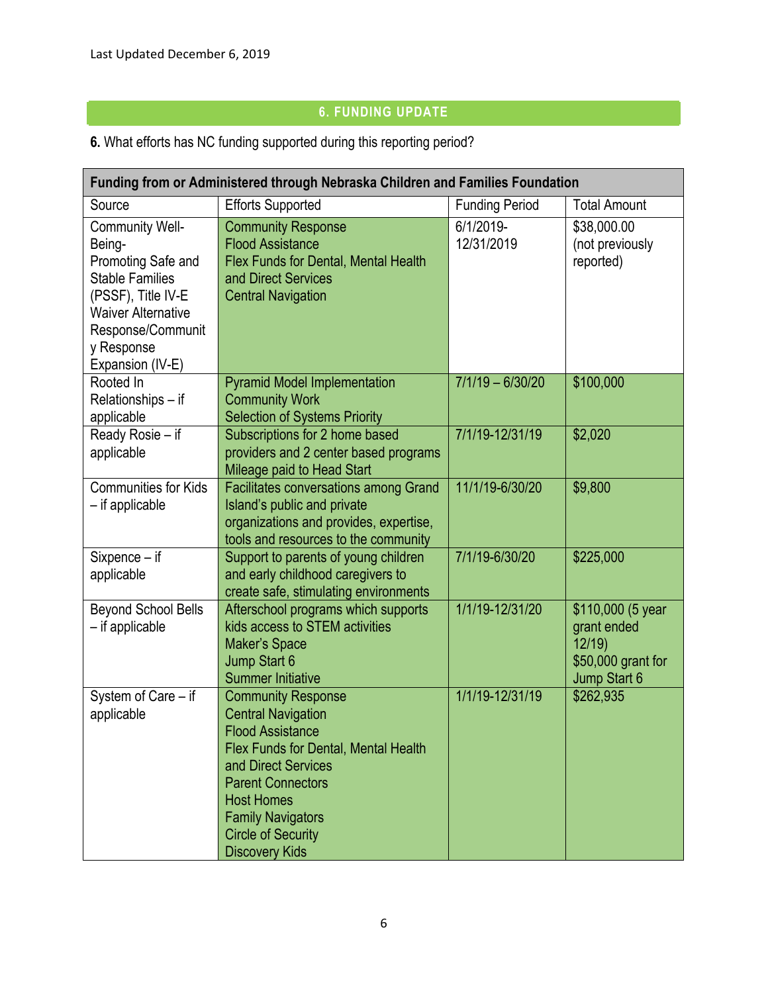# **6. FUNDING UPDATE**

**6.** What efforts has NC funding supported during this reporting period?

|                                                                                                                                                                                            | Funding from or Administered through Nebraska Children and Families Foundation                                                                                                                                                                                                      |                         |                                                                                 |  |
|--------------------------------------------------------------------------------------------------------------------------------------------------------------------------------------------|-------------------------------------------------------------------------------------------------------------------------------------------------------------------------------------------------------------------------------------------------------------------------------------|-------------------------|---------------------------------------------------------------------------------|--|
| Source                                                                                                                                                                                     | <b>Efforts Supported</b>                                                                                                                                                                                                                                                            | <b>Funding Period</b>   | <b>Total Amount</b>                                                             |  |
| <b>Community Well-</b><br>Being-<br>Promoting Safe and<br><b>Stable Families</b><br>(PSSF), Title IV-E<br><b>Waiver Alternative</b><br>Response/Communit<br>y Response<br>Expansion (IV-E) | <b>Community Response</b><br><b>Flood Assistance</b><br>Flex Funds for Dental, Mental Health<br>and Direct Services<br><b>Central Navigation</b>                                                                                                                                    | 6/1/2019-<br>12/31/2019 | \$38,000.00<br>(not previously<br>reported)                                     |  |
| Rooted In<br>Relationships - if<br>applicable                                                                                                                                              | <b>Pyramid Model Implementation</b><br><b>Community Work</b><br><b>Selection of Systems Priority</b>                                                                                                                                                                                | $7/1/19 - 6/30/20$      | \$100,000                                                                       |  |
| Ready Rosie - if<br>applicable                                                                                                                                                             | Subscriptions for 2 home based<br>providers and 2 center based programs<br>Mileage paid to Head Start                                                                                                                                                                               | 7/1/19-12/31/19         | \$2,020                                                                         |  |
| <b>Communities for Kids</b><br>- if applicable                                                                                                                                             | <b>Facilitates conversations among Grand</b><br>Island's public and private<br>organizations and provides, expertise,<br>tools and resources to the community                                                                                                                       | 11/1/19-6/30/20         | \$9,800                                                                         |  |
| Sixpence - if<br>applicable                                                                                                                                                                | Support to parents of young children<br>and early childhood caregivers to<br>create safe, stimulating environments                                                                                                                                                                  | 7/1/19-6/30/20          | \$225,000                                                                       |  |
| <b>Beyond School Bells</b><br>- if applicable                                                                                                                                              | Afterschool programs which supports<br>kids access to STEM activities<br>Maker's Space<br>Jump Start 6<br><b>Summer Initiative</b>                                                                                                                                                  | 1/1/19-12/31/20         | \$110,000 (5 year<br>grant ended<br>12/19<br>\$50,000 grant for<br>Jump Start 6 |  |
| System of Care - if<br>applicable                                                                                                                                                          | <b>Community Response</b><br><b>Central Navigation</b><br><b>Flood Assistance</b><br>Flex Funds for Dental, Mental Health<br>and Direct Services<br><b>Parent Connectors</b><br><b>Host Homes</b><br><b>Family Navigators</b><br><b>Circle of Security</b><br><b>Discovery Kids</b> | 1/1/19-12/31/19         | \$262,935                                                                       |  |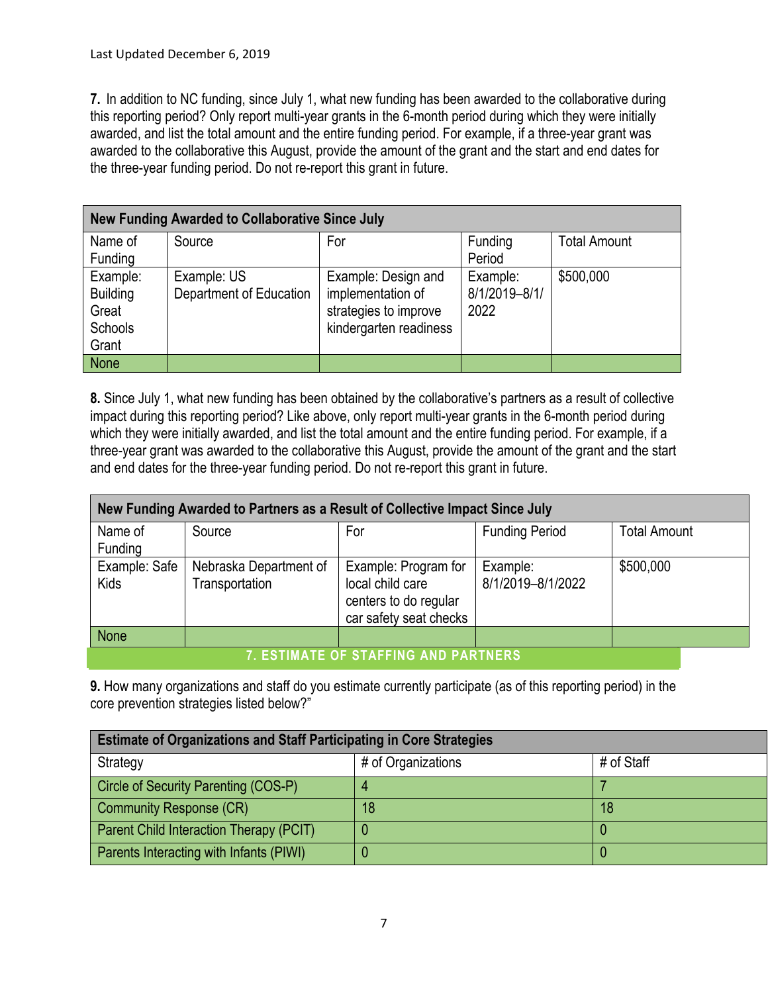**7.** In addition to NC funding, since July 1, what new funding has been awarded to the collaborative during this reporting period? Only report multi-year grants in the 6-month period during which they were initially awarded, and list the total amount and the entire funding period. For example, if a three-year grant was awarded to the collaborative this August, provide the amount of the grant and the start and end dates for the three-year funding period. Do not re-report this grant in future.

|                                                          | New Funding Awarded to Collaborative Since July |                                                                                             |                                   |                     |  |  |  |  |
|----------------------------------------------------------|-------------------------------------------------|---------------------------------------------------------------------------------------------|-----------------------------------|---------------------|--|--|--|--|
| Name of<br>Funding                                       | Source                                          | For                                                                                         | Funding<br>Period                 | <b>Total Amount</b> |  |  |  |  |
| Example:<br><b>Building</b><br>Great<br>Schools<br>Grant | Example: US<br>Department of Education          | Example: Design and<br>implementation of<br>strategies to improve<br>kindergarten readiness | Example:<br>8/1/2019-8/1/<br>2022 | \$500,000           |  |  |  |  |
| <b>None</b>                                              |                                                 |                                                                                             |                                   |                     |  |  |  |  |

**8.** Since July 1, what new funding has been obtained by the collaborative's partners as a result of collective impact during this reporting period? Like above, only report multi-year grants in the 6-month period during which they were initially awarded, and list the total amount and the entire funding period. For example, if a three-year grant was awarded to the collaborative this August, provide the amount of the grant and the start and end dates for the three-year funding period. Do not re-report this grant in future.

|                              | New Funding Awarded to Partners as a Result of Collective Impact Since July |                                                                                             |                               |                     |
|------------------------------|-----------------------------------------------------------------------------|---------------------------------------------------------------------------------------------|-------------------------------|---------------------|
| Name of<br>Funding           | Source                                                                      | For                                                                                         | <b>Funding Period</b>         | <b>Total Amount</b> |
| Example: Safe<br><b>Kids</b> | Nebraska Department of<br>Transportation                                    | Example: Program for<br>local child care<br>centers to do regular<br>car safety seat checks | Example:<br>8/1/2019-8/1/2022 | \$500,000           |
| <b>None</b>                  |                                                                             |                                                                                             |                               |                     |
|                              |                                                                             | 7. ESTIMATE OF STAFFING AND PARTNERS,                                                       |                               |                     |

**9.** How many organizations and staff do you estimate currently participate (as of this reporting period) in the core prevention strategies listed below?"

| <b>Estimate of Organizations and Staff Participating in Core Strategies</b> |                    |            |  |  |  |  |
|-----------------------------------------------------------------------------|--------------------|------------|--|--|--|--|
| Strategy                                                                    | # of Organizations | # of Staff |  |  |  |  |
| Circle of Security Parenting (COS-P)                                        | 4                  |            |  |  |  |  |
| <b>Community Response (CR)</b>                                              | 18                 | 18         |  |  |  |  |
| Parent Child Interaction Therapy (PCIT)                                     |                    |            |  |  |  |  |
| Parents Interacting with Infants (PIWI)                                     |                    |            |  |  |  |  |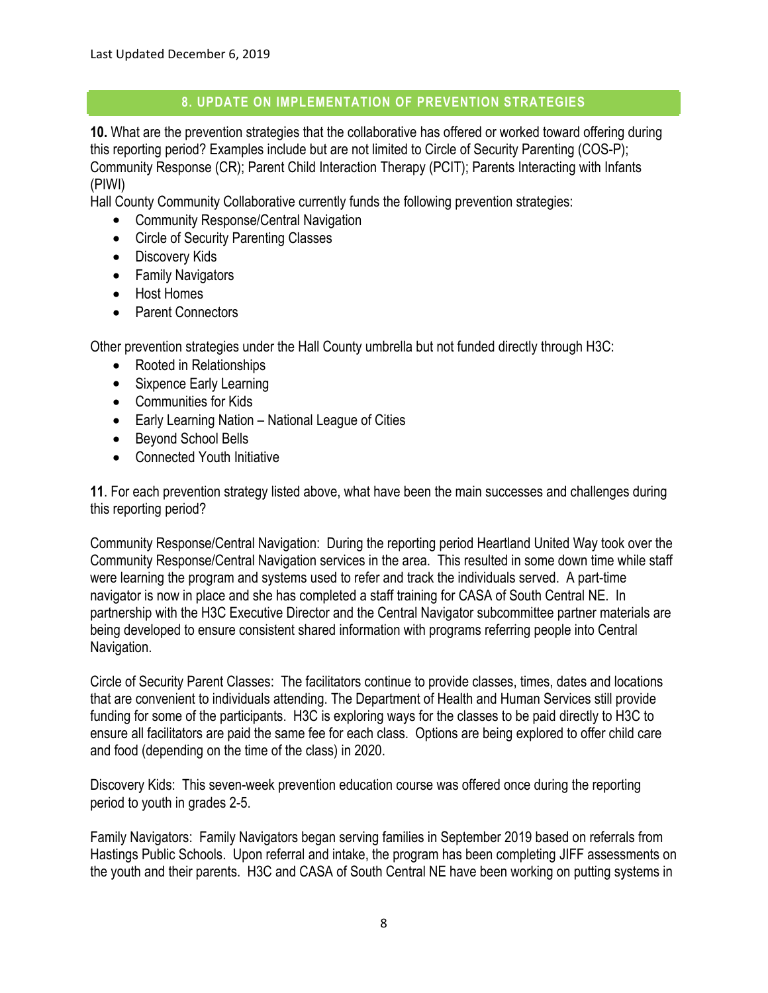### **8. UPDATE ON IMPLEMENTATION OF PREVENTION STRATEGIES**

**10.** What are the prevention strategies that the collaborative has offered or worked toward offering during this reporting period? Examples include but are not limited to Circle of Security Parenting (COS-P); Community Response (CR); Parent Child Interaction Therapy (PCIT); Parents Interacting with Infants (PIWI)

Hall County Community Collaborative currently funds the following prevention strategies:

- Community Response/Central Navigation
- Circle of Security Parenting Classes
- Discovery Kids
- Family Navigators
- Host Homes
- Parent Connectors

Other prevention strategies under the Hall County umbrella but not funded directly through H3C:

- Rooted in Relationships
- Sixpence Early Learning
- Communities for Kids
- Early Learning Nation National League of Cities
- Beyond School Bells
- Connected Youth Initiative

**11**. For each prevention strategy listed above, what have been the main successes and challenges during this reporting period?

Community Response/Central Navigation: During the reporting period Heartland United Way took over the Community Response/Central Navigation services in the area. This resulted in some down time while staff were learning the program and systems used to refer and track the individuals served. A part-time navigator is now in place and she has completed a staff training for CASA of South Central NE. In partnership with the H3C Executive Director and the Central Navigator subcommittee partner materials are being developed to ensure consistent shared information with programs referring people into Central Navigation.

Circle of Security Parent Classes: The facilitators continue to provide classes, times, dates and locations that are convenient to individuals attending. The Department of Health and Human Services still provide funding for some of the participants. H3C is exploring ways for the classes to be paid directly to H3C to ensure all facilitators are paid the same fee for each class. Options are being explored to offer child care and food (depending on the time of the class) in 2020.

Discovery Kids: This seven-week prevention education course was offered once during the reporting period to youth in grades 2-5.

Family Navigators: Family Navigators began serving families in September 2019 based on referrals from Hastings Public Schools. Upon referral and intake, the program has been completing JIFF assessments on the youth and their parents. H3C and CASA of South Central NE have been working on putting systems in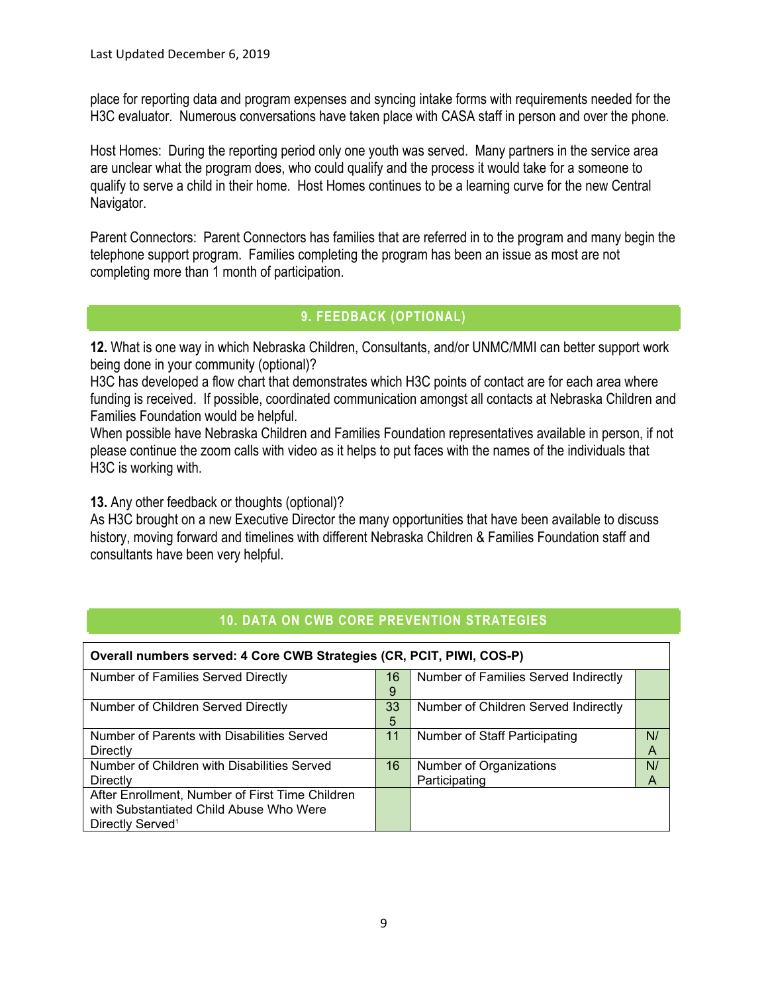place for reporting data and program expenses and syncing intake forms with requirements needed for the H3C evaluator. Numerous conversations have taken place with CASA staff in person and over the phone.

Host Homes: During the reporting period only one youth was served. Many partners in the service area are unclear what the program does, who could qualify and the process it would take for a someone to qualify to serve a child in their home. Host Homes continues to be a learning curve for the new Central Navigator.

Parent Connectors: Parent Connectors has families that are referred in to the program and many begin the telephone support program. Families completing the program has been an issue as most are not completing more than 1 month of participation.

### **9. FEEDBACK (OPTIONAL)**

**12.** What is one way in which Nebraska Children, Consultants, and/or UNMC/MMI can better support work being done in your community (optional)?

H3C has developed a flow chart that demonstrates which H3C points of contact are for each area where funding is received. If possible, coordinated communication amongst all contacts at Nebraska Children and Families Foundation would be helpful.

When possible have Nebraska Children and Families Foundation representatives available in person, if not please continue the zoom calls with video as it helps to put faces with the names of the individuals that H3C is working with.

**13.** Any other feedback or thoughts (optional)?

As H3C brought on a new Executive Director the many opportunities that have been available to discuss history, moving forward and timelines with different Nebraska Children & Families Foundation staff and consultants have been very helpful.

| Overall numbers served: 4 Core CWB Strategies (CR, PCIT, PIWI, COS-P)                                                      |         |                                          |         |  |  |
|----------------------------------------------------------------------------------------------------------------------------|---------|------------------------------------------|---------|--|--|
| Number of Families Served Directly                                                                                         | 16<br>9 | Number of Families Served Indirectly     |         |  |  |
| Number of Children Served Directly                                                                                         | 33<br>5 | Number of Children Served Indirectly     |         |  |  |
| Number of Parents with Disabilities Served<br>Directly                                                                     | 11      | Number of Staff Participating            | N/<br>А |  |  |
| Number of Children with Disabilities Served<br>Directly                                                                    | 16      | Number of Organizations<br>Participating | N/<br>A |  |  |
| After Enrollment, Number of First Time Children<br>with Substantiated Child Abuse Who Were<br>Directly Served <sup>1</sup> |         |                                          |         |  |  |

### **10. DATA ON CWB CORE PREVENTION STRATEGIES**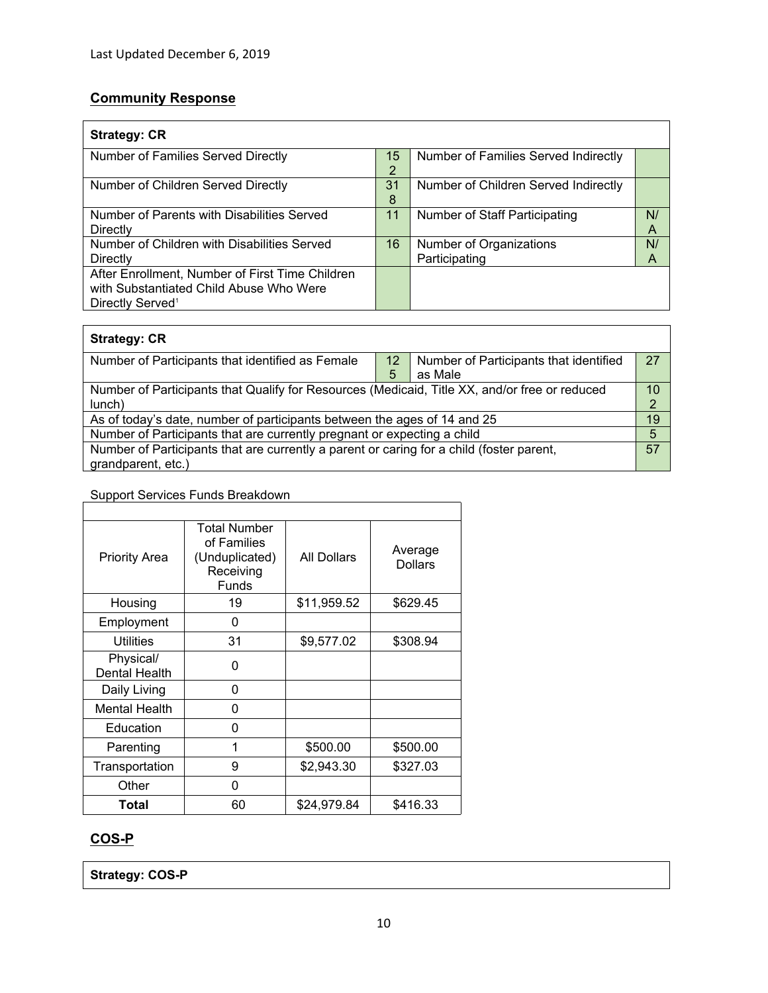# **Community Response**

| <b>Strategy: CR</b>                                                                                                        |         |                                          |         |  |  |
|----------------------------------------------------------------------------------------------------------------------------|---------|------------------------------------------|---------|--|--|
| <b>Number of Families Served Directly</b>                                                                                  | 15<br>◠ | Number of Families Served Indirectly     |         |  |  |
| Number of Children Served Directly                                                                                         | 31<br>8 | Number of Children Served Indirectly     |         |  |  |
| Number of Parents with Disabilities Served<br>Directly                                                                     | 11      | Number of Staff Participating            | N/<br>Α |  |  |
| Number of Children with Disabilities Served<br>Directly                                                                    | 16      | Number of Organizations<br>Participating | N/<br>Α |  |  |
| After Enrollment, Number of First Time Children<br>with Substantiated Child Abuse Who Were<br>Directly Served <sup>1</sup> |         |                                          |         |  |  |

| <b>Strategy: CR</b>                                                                            |    |                                        |    |  |
|------------------------------------------------------------------------------------------------|----|----------------------------------------|----|--|
| Number of Participants that identified as Female                                               | 12 | Number of Participants that identified | 27 |  |
|                                                                                                | 5  | as Male                                |    |  |
| Number of Participants that Qualify for Resources (Medicaid, Title XX, and/or free or reduced  |    |                                        | 10 |  |
| lunch)                                                                                         |    |                                        | ◠  |  |
| As of today's date, number of participants between the ages of 14 and 25                       |    |                                        |    |  |
| Number of Participants that are currently pregnant or expecting a child                        |    |                                        |    |  |
| 57<br>Number of Participants that are currently a parent or caring for a child (foster parent, |    |                                        |    |  |
| grandparent, etc.)                                                                             |    |                                        |    |  |

# Support Services Funds Breakdown

| <b>Priority Area</b>       | Total Number<br>of Families<br>(Unduplicated)<br>Receiving<br><b>Funds</b> | All Dollars | Average<br><b>Dollars</b> |  |  |  |  |
|----------------------------|----------------------------------------------------------------------------|-------------|---------------------------|--|--|--|--|
| Housing                    | 19                                                                         | \$11,959.52 | \$629.45                  |  |  |  |  |
| Employment                 | 0                                                                          |             |                           |  |  |  |  |
| <b>Utilities</b>           | 31                                                                         | \$9,577.02  | \$308.94                  |  |  |  |  |
| Physical/<br>Dental Health | 0                                                                          |             |                           |  |  |  |  |
| Daily Living               | 0                                                                          |             |                           |  |  |  |  |
| <b>Mental Health</b>       | 0                                                                          |             |                           |  |  |  |  |
| Education                  | 0                                                                          |             |                           |  |  |  |  |
| Parenting                  | 1                                                                          | \$500.00    | \$500.00                  |  |  |  |  |
| Transportation             | 9                                                                          | \$2,943.30  | \$327.03                  |  |  |  |  |
| Other                      | 0                                                                          |             |                           |  |  |  |  |
| Total                      | 60                                                                         | \$24,979.84 | \$416.33                  |  |  |  |  |

### **COS-P**

**Strategy: COS-P**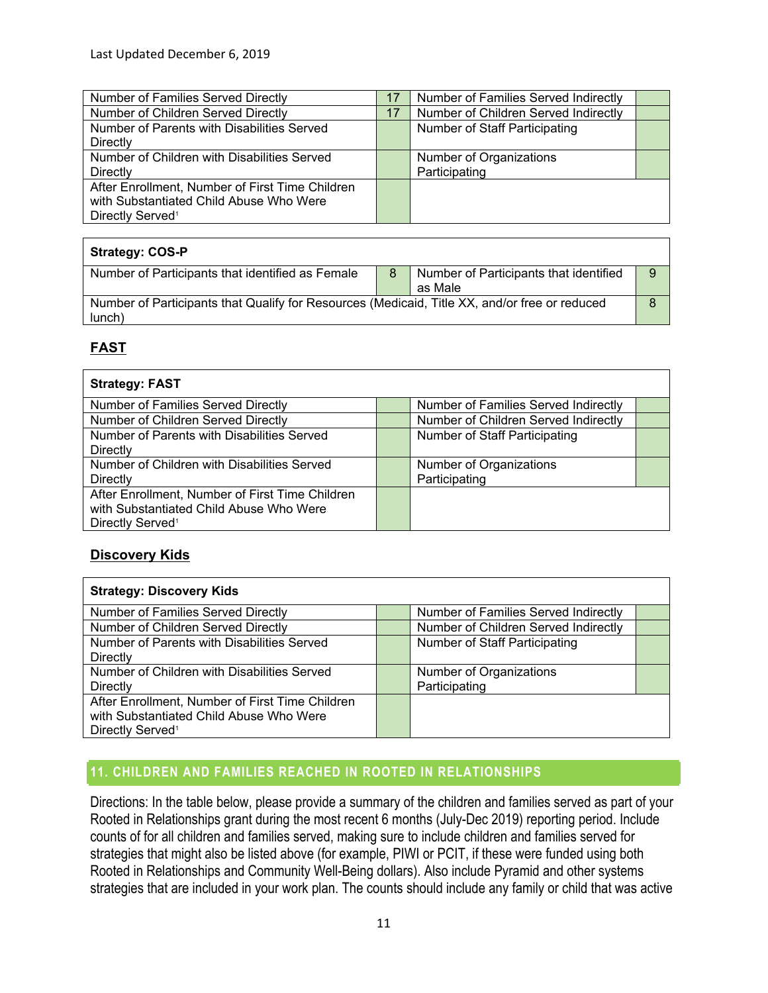| Number of Families Served Directly              | 17 | Number of Families Served Indirectly |  |
|-------------------------------------------------|----|--------------------------------------|--|
| Number of Children Served Directly              | 17 | Number of Children Served Indirectly |  |
| Number of Parents with Disabilities Served      |    | Number of Staff Participating        |  |
| Directly                                        |    |                                      |  |
| Number of Children with Disabilities Served     |    | Number of Organizations              |  |
| Directly                                        |    | Participating                        |  |
| After Enrollment, Number of First Time Children |    |                                      |  |
| with Substantiated Child Abuse Who Were         |    |                                      |  |
| Directly Served <sup>1</sup>                    |    |                                      |  |

| <b>Strategy: COS-P</b>                                                                                  |   |                                                   |   |
|---------------------------------------------------------------------------------------------------------|---|---------------------------------------------------|---|
| Number of Participants that identified as Female                                                        | 8 | Number of Participants that identified<br>as Male | 9 |
| Number of Participants that Qualify for Resources (Medicaid, Title XX, and/or free or reduced<br>lunch) |   |                                                   | 8 |

# **FAST**

| <b>Strategy: FAST</b>                           |                                      |  |
|-------------------------------------------------|--------------------------------------|--|
| Number of Families Served Directly              | Number of Families Served Indirectly |  |
| Number of Children Served Directly              | Number of Children Served Indirectly |  |
| Number of Parents with Disabilities Served      | <b>Number of Staff Participating</b> |  |
| <b>Directly</b>                                 |                                      |  |
| Number of Children with Disabilities Served     | Number of Organizations              |  |
| <b>Directly</b>                                 | Participating                        |  |
| After Enrollment, Number of First Time Children |                                      |  |
| with Substantiated Child Abuse Who Were         |                                      |  |
| Directly Served <sup>1</sup>                    |                                      |  |

### **Discovery Kids**

| <b>Strategy: Discovery Kids</b>                 |  |                                      |  |  |
|-------------------------------------------------|--|--------------------------------------|--|--|
| Number of Families Served Directly              |  | Number of Families Served Indirectly |  |  |
| Number of Children Served Directly              |  | Number of Children Served Indirectly |  |  |
| Number of Parents with Disabilities Served      |  | Number of Staff Participating        |  |  |
| Directly                                        |  |                                      |  |  |
| Number of Children with Disabilities Served     |  | Number of Organizations              |  |  |
| <b>Directly</b>                                 |  | Participating                        |  |  |
| After Enrollment, Number of First Time Children |  |                                      |  |  |
| with Substantiated Child Abuse Who Were         |  |                                      |  |  |
| Directly Served <sup>1</sup>                    |  |                                      |  |  |

# **11. CHILDREN AND FAMILIES REACHED IN ROOTED IN RELATIONSHIPS**

Directions: In the table below, please provide a summary of the children and families served as part of your Rooted in Relationships grant during the most recent 6 months (July-Dec 2019) reporting period. Include counts of for all children and families served, making sure to include children and families served for strategies that might also be listed above (for example, PIWI or PCIT, if these were funded using both Rooted in Relationships and Community Well-Being dollars). Also include Pyramid and other systems strategies that are included in your work plan. The counts should include any family or child that was active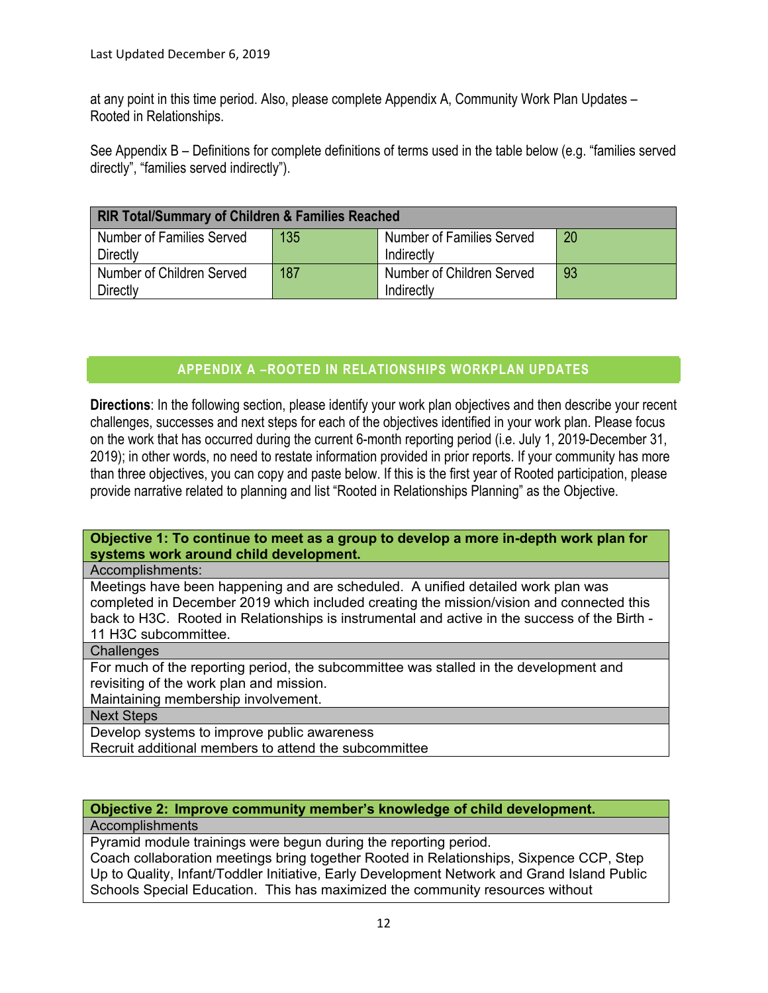at any point in this time period. Also, please complete Appendix A, Community Work Plan Updates – Rooted in Relationships.

See Appendix B – Definitions for complete definitions of terms used in the table below (e.g. "families served directly", "families served indirectly").

| <b>RIR Total/Summary of Children &amp; Families Reached</b> |     |                                  |    |  |
|-------------------------------------------------------------|-----|----------------------------------|----|--|
| <b>Number of Families Served</b>                            | 135 | <b>Number of Families Served</b> | 20 |  |
| Directly                                                    |     | Indirectly                       |    |  |
| Number of Children Served                                   | 187 | Number of Children Served        | 93 |  |
| Directly                                                    |     | Indirectly                       |    |  |

# **APPENDIX A –ROOTED IN RELATIONSHIPS WORKPLAN UPDATES**

**Directions**: In the following section, please identify your work plan objectives and then describe your recent challenges, successes and next steps for each of the objectives identified in your work plan. Please focus on the work that has occurred during the current 6-month reporting period (i.e. July 1, 2019-December 31, 2019); in other words, no need to restate information provided in prior reports. If your community has more than three objectives, you can copy and paste below. If this is the first year of Rooted participation, please provide narrative related to planning and list "Rooted in Relationships Planning" as the Objective.

### **Objective 1: To continue to meet as a group to develop a more in-depth work plan for systems work around child development.**

### Accomplishments:

Meetings have been happening and are scheduled. A unified detailed work plan was completed in December 2019 which included creating the mission/vision and connected this back to H3C. Rooted in Relationships is instrumental and active in the success of the Birth - 11 H3C subcommittee.

### **Challenges**

For much of the reporting period, the subcommittee was stalled in the development and revisiting of the work plan and mission.

Maintaining membership involvement.

Next Steps

Develop systems to improve public awareness

Recruit additional members to attend the subcommittee

### **Objective 2: Improve community member's knowledge of child development.**

Accomplishments

Pyramid module trainings were begun during the reporting period.

Coach collaboration meetings bring together Rooted in Relationships, Sixpence CCP, Step Up to Quality, Infant/Toddler Initiative, Early Development Network and Grand Island Public Schools Special Education. This has maximized the community resources without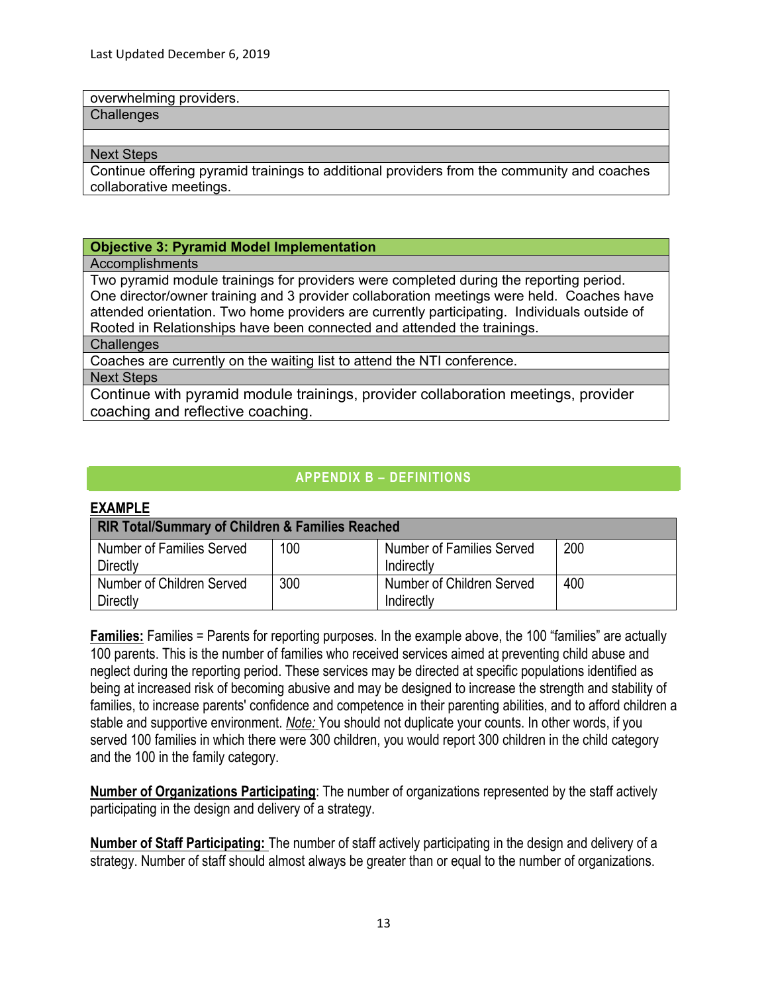overwhelming providers.

**Challenges** 

#### Next Steps

Continue offering pyramid trainings to additional providers from the community and coaches collaborative meetings.

### **Objective 3: Pyramid Model Implementation**

Accomplishments

Two pyramid module trainings for providers were completed during the reporting period. One director/owner training and 3 provider collaboration meetings were held. Coaches have attended orientation. Two home providers are currently participating. Individuals outside of Rooted in Relationships have been connected and attended the trainings.

**Challenges** 

Coaches are currently on the waiting list to attend the NTI conference.

Next Steps

Continue with pyramid module trainings, provider collaboration meetings, provider coaching and reflective coaching.

### **APPENDIX B – DEFINITIONS**

### **EXAMPLE**

| <b>RIR Total/Summary of Children &amp; Families Reached</b> |     |                                  |     |  |
|-------------------------------------------------------------|-----|----------------------------------|-----|--|
| Number of Families Served                                   | 100 | <b>Number of Families Served</b> | 200 |  |
| Directly                                                    |     | Indirectly                       |     |  |
| Number of Children Served                                   | 300 | Number of Children Served        | 400 |  |
| <b>Directly</b>                                             |     | Indirectly                       |     |  |

**Families:** Families = Parents for reporting purposes. In the example above, the 100 "families" are actually 100 parents. This is the number of families who received services aimed at preventing child abuse and neglect during the reporting period. These services may be directed at specific populations identified as being at increased risk of becoming abusive and may be designed to increase the strength and stability of families, to increase parents' confidence and competence in their parenting abilities, and to afford children a stable and supportive environment. *Note:* You should not duplicate your counts. In other words, if you served 100 families in which there were 300 children, you would report 300 children in the child category and the 100 in the family category.

**Number of Organizations Participating**: The number of organizations represented by the staff actively participating in the design and delivery of a strategy.

**Number of Staff Participating:** The number of staff actively participating in the design and delivery of a strategy. Number of staff should almost always be greater than or equal to the number of organizations.